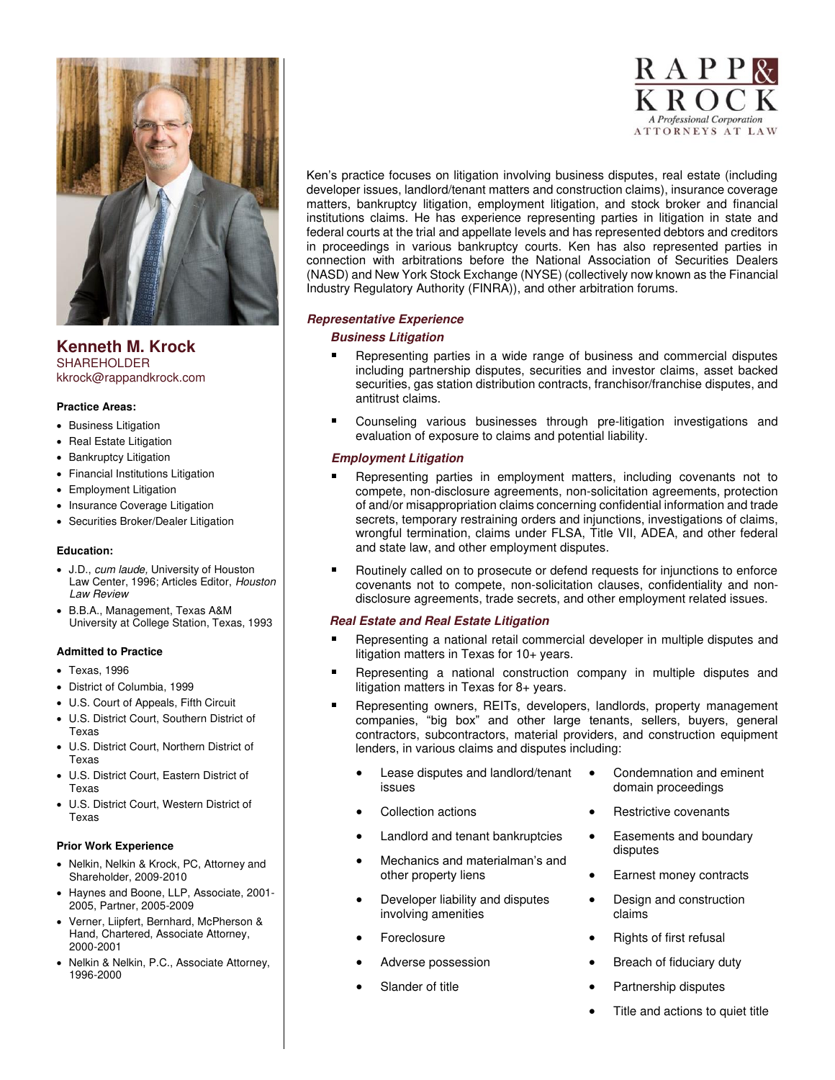

**Kenneth M. Krock**  SHAREHOLDER kkrock@rappandkrock.com

#### **Practice Areas:**

- Business Litigation
- Real Estate Litigation
- Bankruptcy Litigation
- Financial Institutions Litigation
- Employment Litigation
- Insurance Coverage Litigation
- Securities Broker/Dealer Litigation

### **Education:**

- J.D., cum laude, University of Houston Law Center, 1996; Articles Editor, Houston Law Review
- B.B.A., Management, Texas A&M University at College Station, Texas, 1993

### **Admitted to Practice**

- Texas, 1996
- District of Columbia, 1999
- U.S. Court of Appeals, Fifth Circuit
- U.S. District Court, Southern District of Texas
- U.S. District Court, Northern District of Texas
- U.S. District Court, Eastern District of Texas
- U.S. District Court, Western District of Texas

### **Prior Work Experience**

- Nelkin, Nelkin & Krock, PC, Attorney and Shareholder, 2009-2010
- Haynes and Boone, LLP, Associate, 2001- 2005, Partner, 2005-2009
- Verner, Liipfert, Bernhard, McPherson & Hand, Chartered, Associate Attorney, 2000-2001
- Nelkin & Nelkin, P.C., Associate Attorney, 1996-2000

Ken's practice focuses on litigation involving business disputes, real estate (including developer issues, landlord/tenant matters and construction claims), insurance coverage matters, bankruptcy litigation, employment litigation, and stock broker and financial institutions claims. He has experience representing parties in litigation in state and federal courts at the trial and appellate levels and has represented debtors and creditors in proceedings in various bankruptcy courts. Ken has also represented parties in connection with arbitrations before the National Association of Securities Dealers (NASD) and New York Stock Exchange (NYSE) (collectively now known as the Financial Industry Regulatory Authority (FINRA)), and other arbitration forums.

# **Representative Experience**

## **Business Litigation**

- Representing parties in a wide range of business and commercial disputes ٠ including partnership disputes, securities and investor claims, asset backed securities, gas station distribution contracts, franchisor/franchise disputes, and antitrust claims.
- Counseling various businesses through pre-litigation investigations and  $\blacksquare$ evaluation of exposure to claims and potential liability.

## **Employment Litigation**

- Representing parties in employment matters, including covenants not to compete, non-disclosure agreements, non-solicitation agreements, protection of and/or misappropriation claims concerning confidential information and trade secrets, temporary restraining orders and injunctions, investigations of claims, wrongful termination, claims under FLSA, Title VII, ADEA, and other federal and state law, and other employment disputes.
- $\blacksquare$ Routinely called on to prosecute or defend requests for injunctions to enforce covenants not to compete, non-solicitation clauses, confidentiality and nondisclosure agreements, trade secrets, and other employment related issues.

## **Real Estate and Real Estate Litigation**

- Representing a national retail commercial developer in multiple disputes and litigation matters in Texas for 10+ years.
- Representing a national construction company in multiple disputes and litigation matters in Texas for 8+ years.
- п Representing owners, REITs, developers, landlords, property management companies, "big box" and other large tenants, sellers, buyers, general contractors, subcontractors, material providers, and construction equipment lenders, in various claims and disputes including:
	- Lease disputes and landlord/tenant issues domain proceedings
	- Collection actions
	- Landlord and tenant bankruptcies
	- Mechanics and materialman's and other property liens
	- Developer liability and disputes involving amenities
	- **Foreclosure**
	- Adverse possession
	- Slander of title
- Condemnation and eminent
- Restrictive covenants
- Easements and boundary disputes
- Earnest money contracts
- Design and construction claims
- Rights of first refusal
- Breach of fiduciary duty
- Partnership disputes
- Title and actions to quiet title